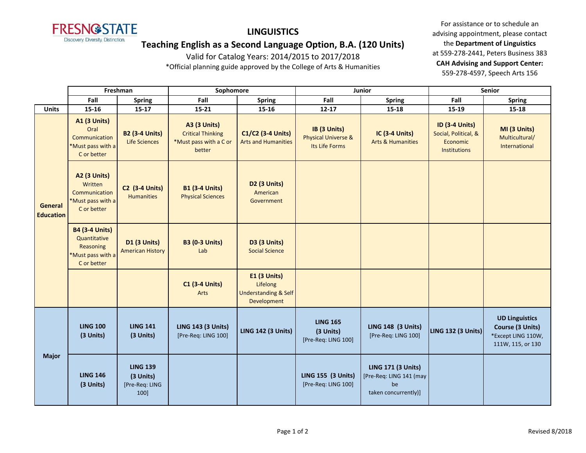

# **LINGUISTICS**

# **Teaching English as a Second Language Option, B.A. (120 Units)**

Valid for Catalog Years: 2014/2015 to 2017/2018

\*Official planning guide approved by the College of Arts & Humanities

For assistance or to schedule an advising appointment, please contact the **Department of Linguistics** at 559-278-2441, Peters Business 383 **CAH Advising and Support Center:**  559-278-4597, Speech Arts 156

|                             | Freshman                                                                               |                                                        | Sophomore                                                                           |                                                                                   | Junior                                                           |                                                                                    | <b>Senior</b>                                                             |                                                                                      |
|-----------------------------|----------------------------------------------------------------------------------------|--------------------------------------------------------|-------------------------------------------------------------------------------------|-----------------------------------------------------------------------------------|------------------------------------------------------------------|------------------------------------------------------------------------------------|---------------------------------------------------------------------------|--------------------------------------------------------------------------------------|
|                             | Fall                                                                                   | <b>Spring</b>                                          | Fall                                                                                | <b>Spring</b>                                                                     | Fall                                                             | <b>Spring</b>                                                                      | Fall                                                                      | <b>Spring</b>                                                                        |
| <b>Units</b>                | $15 - 16$                                                                              | $15 - 17$                                              | $15 - 21$                                                                           | 15-16                                                                             | $12 - 17$                                                        | $15 - 18$                                                                          | 15-19                                                                     | $15 - 18$                                                                            |
| General<br><b>Education</b> | <b>A1 (3 Units)</b><br>Oral<br>Communication<br>*Must pass with a<br>C or better       | <b>B2 (3-4 Units)</b><br><b>Life Sciences</b>          | <b>A3 (3 Units)</b><br><b>Critical Thinking</b><br>*Must pass with a C or<br>better | C1/C2 (3-4 Units)<br><b>Arts and Humanities</b>                                   | IB (3 Units)<br><b>Physical Universe &amp;</b><br>Its Life Forms | IC (3-4 Units)<br><b>Arts &amp; Humanities</b>                                     | <b>ID (3-4 Units)</b><br>Social, Political, &<br>Economic<br>Institutions | MI (3 Units)<br>Multicultural/<br>International                                      |
|                             | <b>A2 (3 Units)</b><br>Written<br>Communication<br>*Must pass with a<br>C or better    | <b>C2 (3-4 Units)</b><br><b>Humanities</b>             | <b>B1 (3-4 Units)</b><br><b>Physical Sciences</b>                                   | D <sub>2</sub> (3 Units)<br>American<br>Government                                |                                                                  |                                                                                    |                                                                           |                                                                                      |
|                             | <b>B4 (3-4 Units)</b><br>Quantitative<br>Reasoning<br>*Must pass with a<br>C or better | D1 (3 Units)<br><b>American History</b>                | <b>B3 (0-3 Units)</b><br>Lab                                                        | <b>D3 (3 Units)</b><br><b>Social Science</b>                                      |                                                                  |                                                                                    |                                                                           |                                                                                      |
|                             |                                                                                        |                                                        | <b>C1 (3-4 Units)</b><br>Arts                                                       | <b>E1 (3 Units)</b><br>Lifelong<br><b>Understanding &amp; Self</b><br>Development |                                                                  |                                                                                    |                                                                           |                                                                                      |
| <b>Major</b>                | <b>LING 100</b><br>(3 Units)                                                           | <b>LING 141</b><br>(3 Units)                           | <b>LING 143 (3 Units)</b><br>[Pre-Req: LING 100]                                    | <b>LING 142 (3 Units)</b>                                                         | <b>LING 165</b><br>(3 Units)<br>[Pre-Req: LING 100]              | <b>LING 148 (3 Units)</b><br>[Pre-Req: LING 100]                                   | <b>LING 132 (3 Units)</b>                                                 | <b>UD Linguistics</b><br>Course (3 Units)<br>*Except LING 110W,<br>111W, 115, or 130 |
|                             | <b>LING 146</b><br>(3 Units)                                                           | <b>LING 139</b><br>(3 Units)<br>[Pre-Req: LING<br>100] |                                                                                     |                                                                                   | <b>LING 155 (3 Units)</b><br>[Pre-Req: LING 100]                 | <b>LING 171 (3 Units)</b><br>[Pre-Req: LING 141 (may<br>be<br>taken concurrently)] |                                                                           |                                                                                      |